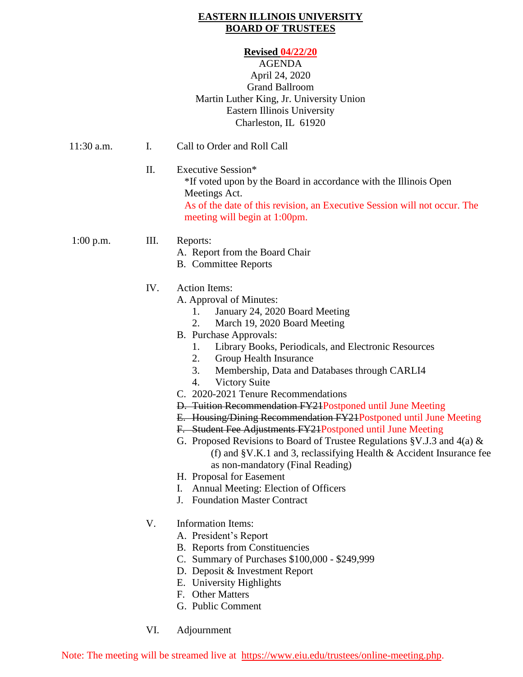### **EASTERN ILLINOIS UNIVERSITY BOARD OF TRUSTEES**

#### **Revised 04/22/20**

### AGENDA April 24, 2020 Grand Ballroom Martin Luther King, Jr. University Union Eastern Illinois University Charleston, IL 61920

| $11:30$ a.m. | I.  | Call to Order and Roll Call                                                                                                                                                                                                                                                                                                                                                                                                                                                                                                                                                                                                                                                                                                                                                                                                                                                          |
|--------------|-----|--------------------------------------------------------------------------------------------------------------------------------------------------------------------------------------------------------------------------------------------------------------------------------------------------------------------------------------------------------------------------------------------------------------------------------------------------------------------------------------------------------------------------------------------------------------------------------------------------------------------------------------------------------------------------------------------------------------------------------------------------------------------------------------------------------------------------------------------------------------------------------------|
|              | II. | Executive Session*<br>*If voted upon by the Board in accordance with the Illinois Open<br>Meetings Act.<br>As of the date of this revision, an Executive Session will not occur. The<br>meeting will begin at 1:00pm.                                                                                                                                                                                                                                                                                                                                                                                                                                                                                                                                                                                                                                                                |
| $1:00$ p.m.  | Ш.  | Reports:<br>A. Report from the Board Chair<br><b>B.</b> Committee Reports                                                                                                                                                                                                                                                                                                                                                                                                                                                                                                                                                                                                                                                                                                                                                                                                            |
|              | IV. | <b>Action Items:</b><br>A. Approval of Minutes:<br>January 24, 2020 Board Meeting<br>1.<br>2.<br>March 19, 2020 Board Meeting<br>B. Purchase Approvals:<br>1.<br>Library Books, Periodicals, and Electronic Resources<br>2.<br>Group Health Insurance<br>3.<br>Membership, Data and Databases through CARLI4<br><b>Victory Suite</b><br>4.<br>C. 2020-2021 Tenure Recommendations<br>D. Tuition Recommendation FY21Postponed until June Meeting<br>E. Housing/Dining Recommendation FY24Postponed until June Meeting<br>F. Student Fee Adjustments FY21Postponed until June Meeting<br>G. Proposed Revisions to Board of Trustee Regulations §V.J.3 and 4(a) &<br>(f) and §V.K.1 and 3, reclassifying Health & Accident Insurance fee<br>as non-mandatory (Final Reading)<br>H. Proposal for Easement<br>Annual Meeting: Election of Officers<br>I.<br>J. Foundation Master Contract |
|              | V.  | <b>Information Items:</b><br>A. President's Report<br><b>B.</b> Reports from Constituencies<br>C. Summary of Purchases \$100,000 - \$249,999<br>D. Deposit & Investment Report<br>E. University Highlights<br>F. Other Matters<br>G. Public Comment                                                                                                                                                                                                                                                                                                                                                                                                                                                                                                                                                                                                                                  |

VI. Adjournment

Note: The meeting will be streamed live at [https://www.eiu.edu/trustees/online-meeting.php.](https://www.eiu.edu/trustees/online-meeting.php)